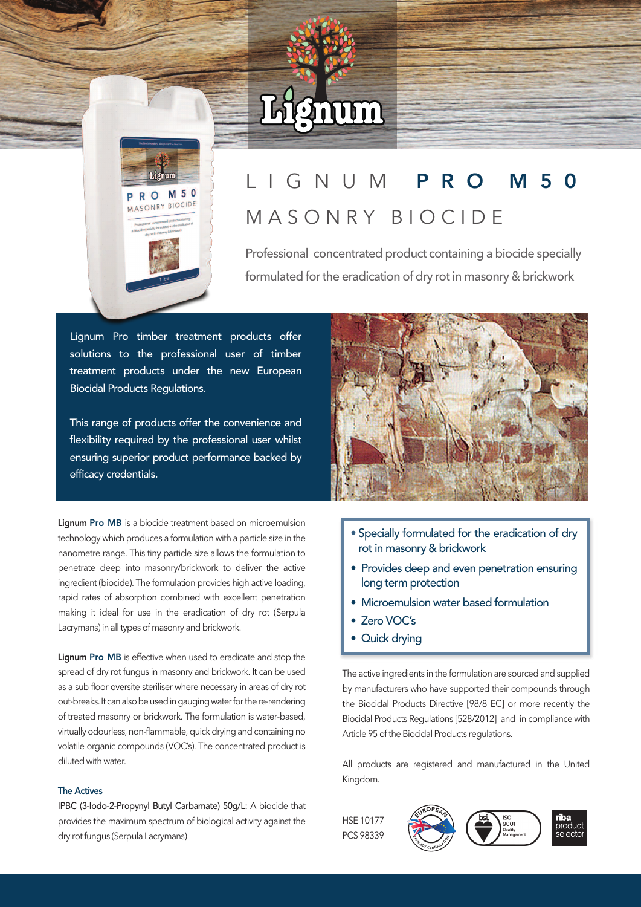# Lignum



# L I G N U M P R O M 5 0 MASONRY BIOCIDE

Professional concentrated product containing a biocide specially formulated for the eradication of dry rot in masonry & brickwork

Lignum Pro timber treatment products offer solutions to the professional user of timber treatment products under the new European Biocidal Products Regulations.

This range of products offer the convenience and flexibility required by the professional user whilst ensuring superior product performance backed by efficacy credentials.

Lignum Pro MB is a biocide treatment based on microemulsion technology which produces a formulation with a particle size in the nanometre range. This tiny particle size allows the formulation to penetrate deep into masonry/brickwork to deliver the active ingredient (biocide). The formulation provides high active loading, rapid rates of absorption combined with excellent penetration making it ideal for use in the eradication of dry rot (Serpula Lacrymans) in all types of masonry and brickwork.

Lignum Pro MB is effective when used to eradicate and stop the spread of dry rot fungus in masonry and brickwork. It can be used as a sub floor oversite steriliser where necessary in areas of dry rot out-breaks. It can also be used in gauging water for the re-rendering of treated masonry or brickwork. The formulation is water-based, virtually odourless, non-flammable, quick drying and containing no volatile organic compounds (VOC's). The concentrated product is diluted with water.

# The Actives

IPBC (3-Iodo-2-Propynyl Butyl Carbamate) 50g/L: A biocide that provides the maximum spectrum of biological activity against the dry rot fungus (Serpula Lacrymans)



- Specially formulated for the eradication of dry rot in masonry & brickwork
- Provides deep and even penetration ensuring long term protection
- Microemulsion water based formulation
- Zero VOC's
- Quick drying

The active ingredients in the formulation are sourced and supplied by manufacturers who have supported their compounds through the Biocidal Products Directive [98/8 EC] or more recently the Biocidal Products Regulations [528/2012] and in compliance with Article 95 of the Biocidal Products regulations.

All products are registered and manufactured in the United Kingdom.

HSE 10177 PCS 98339